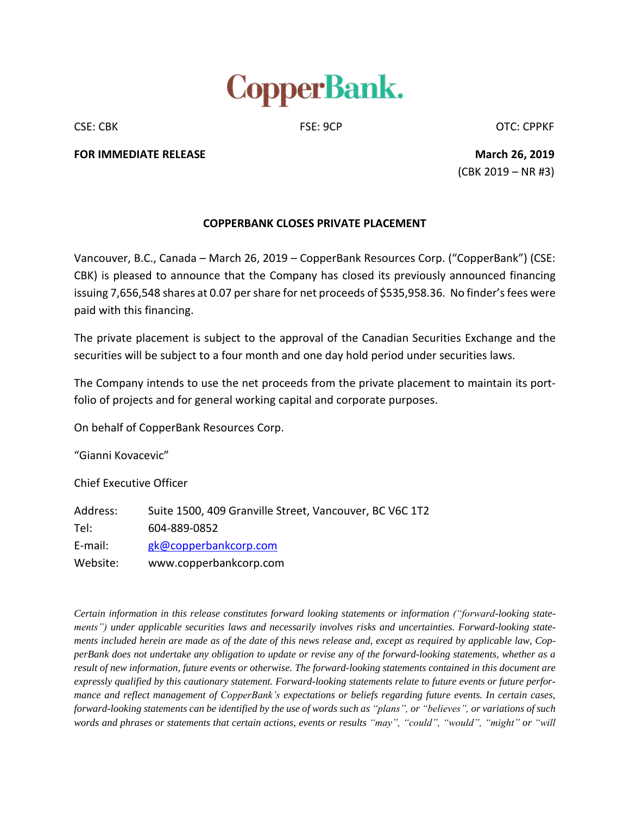

CSE: CBK CSE: 9CP CSE: 9CP CSE: CPPKF

**FOR IMMEDIATE RELEASE March 26, 2019**

(CBK 2019 – NR #3)

## **COPPERBANK CLOSES PRIVATE PLACEMENT**

Vancouver, B.C., Canada – March 26, 2019 – CopperBank Resources Corp. ("CopperBank") (CSE: CBK) is pleased to announce that the Company has closed its previously announced financing issuing 7,656,548 shares at 0.07 per share for net proceeds of \$535,958.36. No finder's fees were paid with this financing.

The private placement is subject to the approval of the Canadian Securities Exchange and the securities will be subject to a four month and one day hold period under securities laws.

The Company intends to use the net proceeds from the private placement to maintain its portfolio of projects and for general working capital and corporate purposes.

On behalf of CopperBank Resources Corp.

"Gianni Kovacevic"

Chief Executive Officer

Address: Suite 1500, 409 Granville Street, Vancouver, BC V6C 1T2 Tel: 604-889-0852 E-mail: [gk@copperbankcorp.com](mailto:gk@copperbankcorp.com) Website: www.copperbankcorp.com

*Certain information in this release constitutes forward looking statements or information ("forward-looking statements") under applicable securities laws and necessarily involves risks and uncertainties. Forward-looking state*ments included herein are made as of the date of this news release and, except as required by applicable law, CopperBank does not undertake any obligation to update or revise any of the forward-looking statements, whether as a result of new information, future events or otherwise. The forward-looking statements contained in this document are *expressly qualified by this cautionary statement. Forward-looking statements relate to future events or future performance and reflect management of CopperBank's expectations or beliefs regarding future events. In certain cases,* forward-looking statements can be identified by the use of words such as "plans", or "believes", or variations of such words and phrases or statements that certain actions, events or results "may", "could", "would", "might" or "will